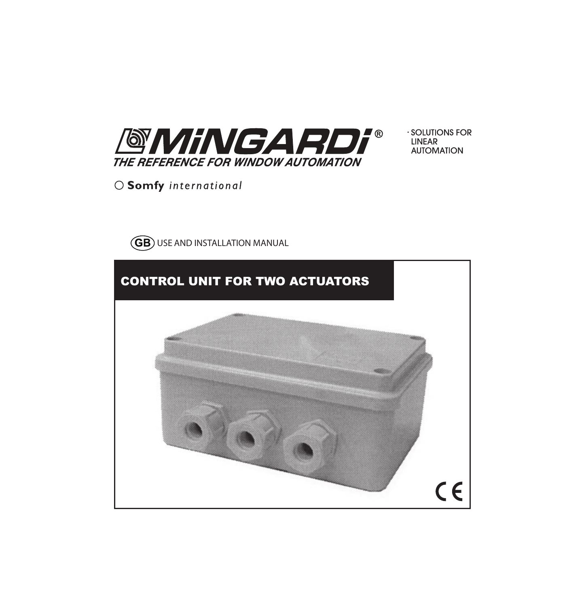

 $\cdot$  SOLUTIONS FOR **INFAR AUTOMATION** 

○ Somfy international



# CONTROL UNIT FOR TWO ACTUATORS

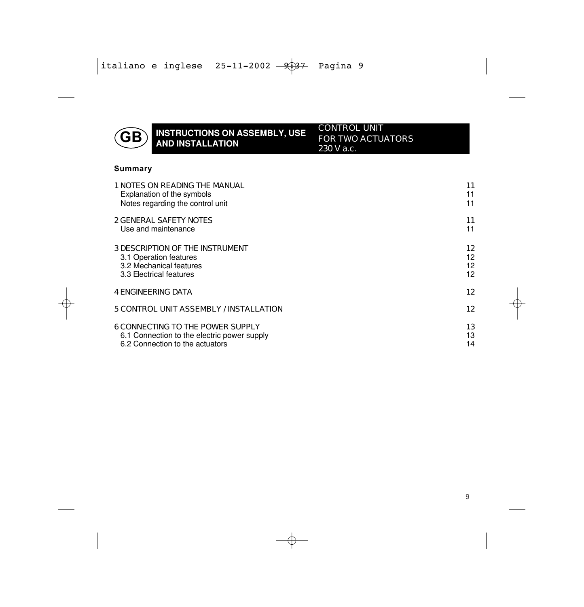

# **GB** INSTRUCTIONS ON ASSEMBLY, USE AND INSTALLATION

CONTROL UNIT FOR TWO ACTUATORS 230 V a.c.

#### **Summary**

| 1 NOTES ON READING THE MANUAL               | 11 |
|---------------------------------------------|----|
| Explanation of the symbols                  | 11 |
| Notes regarding the control unit            | 11 |
| <b>2 GENERAL SAFETY NOTES</b>               | 11 |
| Use and maintenance                         | 11 |
| <b>3 DESCRIPTION OF THE INSTRUMENT</b>      | 12 |
| 3.1 Operation features                      | 12 |
| 3.2 Mechanical features                     | 12 |
| 3.3 Electrical features                     | 12 |
| <b>4 ENGINEERING DATA</b>                   | 12 |
| 5 CONTROL UNIT ASSEMBLY / INSTALLATION      | 12 |
| <b>6 CONNECTING TO THE POWER SUPPLY</b>     | 13 |
| 6.1 Connection to the electric power supply | 13 |
| 6.2 Connection to the actuators             | 14 |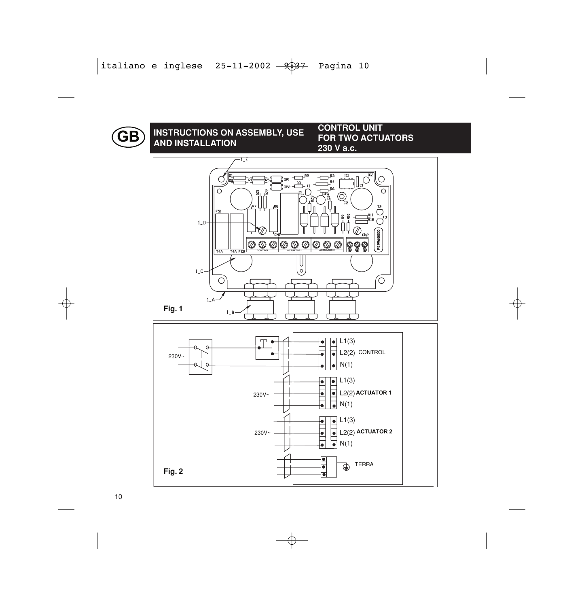

# **AND INSTALLATION GB** INSTRUCTIONS ON ASSEMBLY, USE CONTROL UNIT<br>AND INSTALLATION

**FOR TWO ACTUATORS 230 V a.c.**

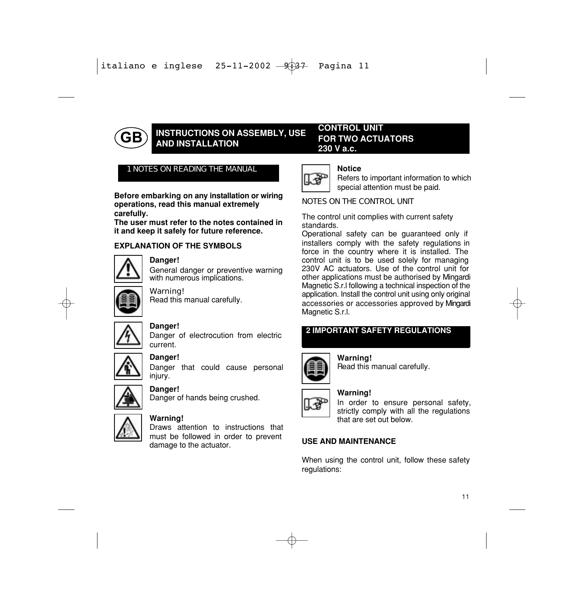

# **INSTRUCTIONS ON ASSEMBLY, USE** AND INSTALLATION

#### CONTROL UNIT FOR TWO ACTUATORS 230 V a.c.

#### 1 NOTES ON READING THE MANUAL

Before embarking on any installation or wiring operations, read this manual extremely carefully.

The user must refer to the notes contained in it and keep it safely for future reference.

#### EXPLANATION OF THE SYMBOLS



#### Danger!

General danger or preventive warning with numerous implications.



### Warning!

Read this manual carefully.



#### Danger!

Danger of electrocution from electric current.



#### Danger!

Danger that could cause personal injury.



#### Danger!

Danger of hands being crushed.



#### Warning!

Draws attention to instructions that must be followed in order to prevent damage to the actuator.



#### Notice

Refers to important information to which special attention must be paid.

#### NOTES ON THE CONTROL UNIT

The control unit complies with current safety standards.

Operational safety can be guaranteed only if installers comply with the safety regulations in force in the country where it is installed. The control unit is to be used solely for managing 230V AC actuators. Use of the control unit for other applications must be authorised by Mingardi Magnetic S.r.l following a technical inspection of the application. Install the control unit using only original accessories or accessories approved by Mingardi Magnetic S.r.l.

#### 2 IMPORTANT SAFETY REGULATIONS



Warning! Read this manual carefully.

## Warning!

In order to ensure personal safety, strictly comply with all the regulations that are set out below.

#### USE AND MAINTENANCE

When using the control unit, follow these safety regulations: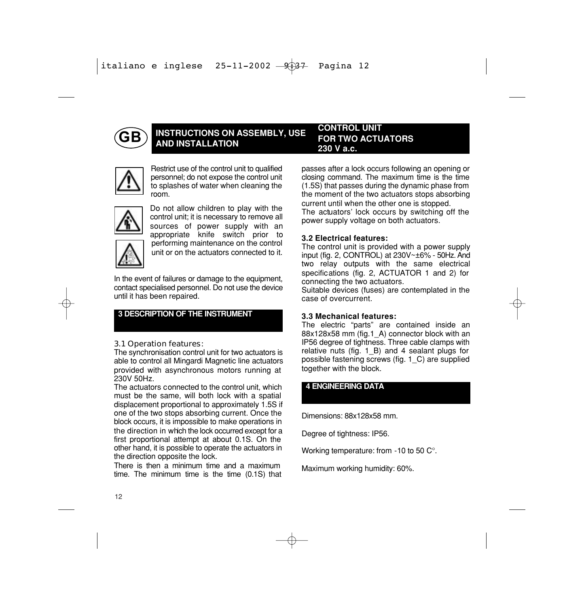

#### **INSTRUCTIONS ON ASSEMBLY, USE** AND INSTALLATION CONTROL UNIT FOR TWO ACTUATORS 230 V a.c.



Restrict use of the control unit to qualified personnel; do not expose the control unit to splashes of water when cleaning the room.



Do not allow children to play with the control unit; it is necessary to remove all sources of power supply with an appropriate knife switch prior to performing maintenance on the control unit or on the actuators connected to it.

In the event of failures or damage to the equipment, contact specialised personnel. Do not use the device until it has been repaired.

#### 3 DESCRIPTION OF THE INSTRUMENT

#### 3.1 Operation features:

The synchronisation control unit for two actuators is able to control all Mingardi Magnetic line actuators provided with asynchronous motors running at 230V 50Hz.

The actuators connected to the control unit, which must be the same, will both lock with a spatial displacement proportional to approximately 1.5S if one of the two stops absorbing current. Once the block occurs, it is impossible to make operations in the direction in which the lock occurred except for a first proportional attempt at about 0.1S. On the other hand, it is possible to operate the actuators in the direction opposite the lock.

There is then a minimum time and a maximum time. The minimum time is the time (0.1S) that

passes after a lock occurs following an opening or closing command. The maximum time is the time (1.5S) that passes during the dynamic phase from the moment of the two actuators stops absorbing current until when the other one is stopped.

The actuators' lock occurs by switching off the power supply voltage on both actuators.

#### 3.2 Electrical features:

The control unit is provided with a power supply input (fig. 2, CONTROL) at 230V~±6% - 50Hz. And two relay outputs with the same electrical specifications (fig. 2, ACTUATOR 1 and 2) for connecting the two actuators.

Suitable devices (fuses) are contemplated in the case of overcurrent.

#### 3.3 Mechanical features:

The electric "parts" are contained inside an 88x128x58 mm (fig.1\_A) connector block with an IP56 degree of tightness. Three cable clamps with relative nuts (fig. 1 B) and 4 sealant plugs for possible fastening screws (fig. 1\_C) are supplied together with the block.

#### 4 ENGINEERING DATA

Dimensions: 88x128x58 mm.

Degree of tightness: IP56.

Working temperature: from -10 to 50 C°.

Maximum working humidity: 60%.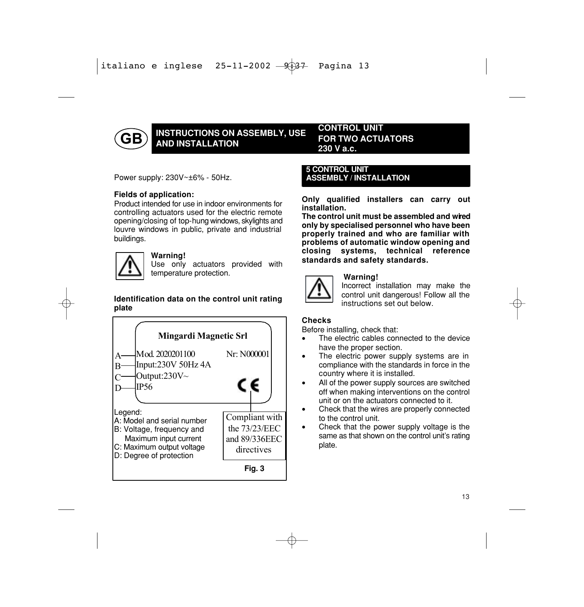

## INSTRUCTIONS ON ASSEMBLY, USE **AND INSTALLATION**

#### CONTROL UNIT FOR TWO ACTUATORS 230 V a.c.

Power supply: 230V~±6% - 50Hz.

#### Fields of application:

controlling actuators used for the electric remote opening/closing of top-hung windows, skylights and louvre windows in public, private and industrial buildings. Product intended for use in indoor environments for



#### Warning!

Use only actuators provided with temperature protection.

#### Identification data on the control unit rating plate



#### 5 CONTROL UNIT ASSEMBLY / INSTALLATION

Only qualified installers can carry out installation.

The control unit must be assembled and wired only by specialised personnel who have been properly trained and who are familiar with problems of automatic window opening and closing systems, technical reference standards and safety standards.



#### Warning!

Incorrect installation may make the control unit dangerous! Follow all the instructions set out below.

#### Checks

Before installing, check that:

- The electric cables connected to the device have the proper section.
- The electric power supply systems are in compliance with the standards in force in the country where it is installed.
- All of the power supply sources are switched off when making interventions on the control unit or on the actuators connected to it.
- Check that the wires are properly connected to the control unit.
- Check that the power supply voltage is the same as that shown on the control unit's rating plate.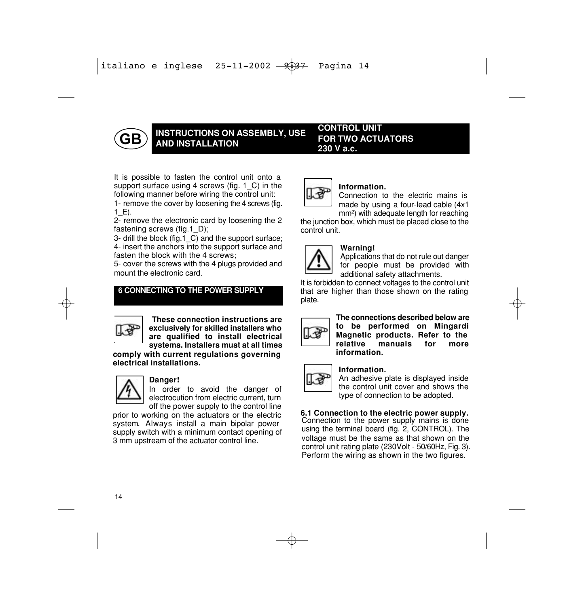

## INSTRUCTIONS ON ASSEMBLY, USE AND INSTALLATION

CONTROL UNIT FOR TWO ACTUATORS 230 V a.c.

It is possible to fasten the control unit onto a support surface using 4 screws (fig. 1 C) in the following manner before wiring the control unit:

1- remove the cover by loosening the 4 screws (fig.  $1$  E).

2- remove the electronic card by loosening the 2 fastening screws (fig.1\_D);

3- drill the block (fig.1\_C) and the support surface;

4- insert the anchors into the support surface and fasten the block with the 4 screws;

5- cover the screws with the 4 plugs provided and mount the electronic card.

#### 6 CONNECTING TO THE POWER SUPPLY



These connection instructions are exclusively for skilled installers who are qualified to install electrical systems. Installers must at all times

comply with current regulations governing electrical installations.



#### Danger!

In order to avoid the danger of electrocution from electric current, turn off the power supply to the control line

prior to working on the actuators or the electric system. Always install a main bipolar power supply switch with a minimum contact opening of 3 mm upstream of the actuator control line.



#### Information.

Connection to the electric mains is made by using a four-lead cable (4x1 mm<sup>2</sup>) with adequate length for reaching

the junction box, which must be placed close to the control unit.



#### Warning!

Applications that do not rule out danger for people must be provided with additional safety attachments.

It is forbidden to connect voltages to the control unit that are higher than those shown on the rating plate.



The connections described below are to be performed on Mingardi Magnetic products. Refer to the<br>relative manuals for more manuals for more information.



#### Information.

An adhesive plate is displayed inside the control unit cover and shows the type of connection to be adopted.

# 6.1 Connection to the electric power supply. Connection to the power supply mains is done

using the terminal board (fig. 2, CONTROL). The voltage must be the same as that shown on the control unit rating plate (230Volt - 50/60Hz, Fig. 3). Perform the wiring as shown in the two figures.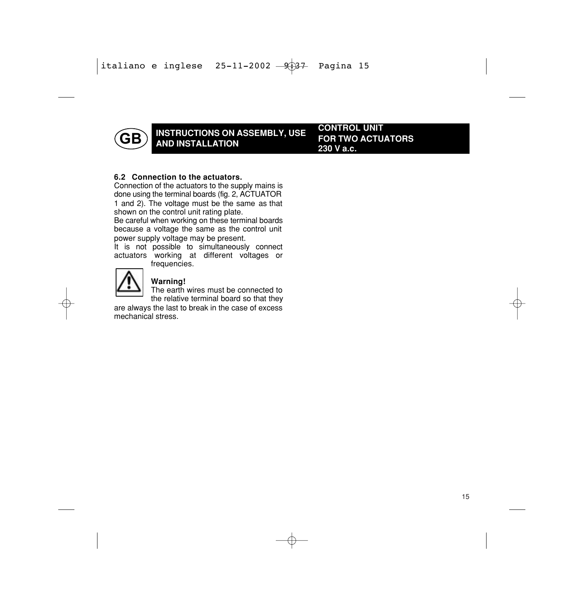

## INSTRUCTIONS ON ASSEMBLY, USE AND INSTALLATION

CONTROL UNIT FOR TWO ACTUATORS 230 V a.c.

#### 6.2 Connection to the actuators.

Connection of the actuators to the supply mains is done using the terminal boards (fig. 2, ACTUATOR 1 and 2). The voltage must be the same as that shown on the control unit rating plate.

Be careful when working on these terminal boards because a voltage the same as the control unit power supply voltage may be present.

It is not possible to simultaneously connect actuators working at different voltages or frequencies.



#### Warning!

The earth wires must be connected to the relative terminal board so that they

are always the last to break in the case of excess mechanical stress.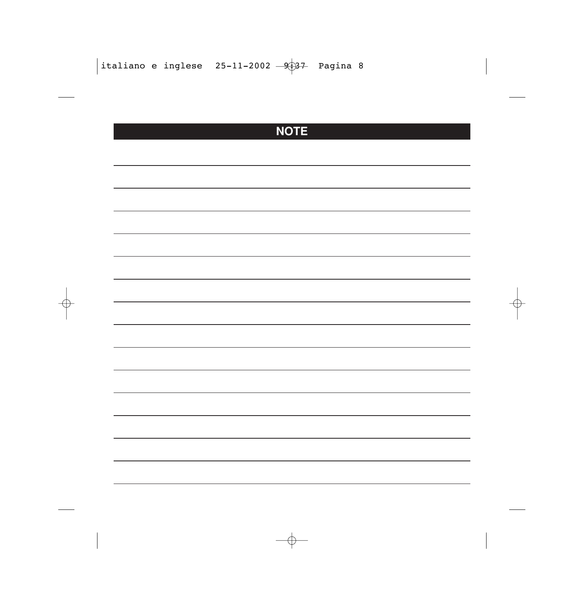# **NOTE**